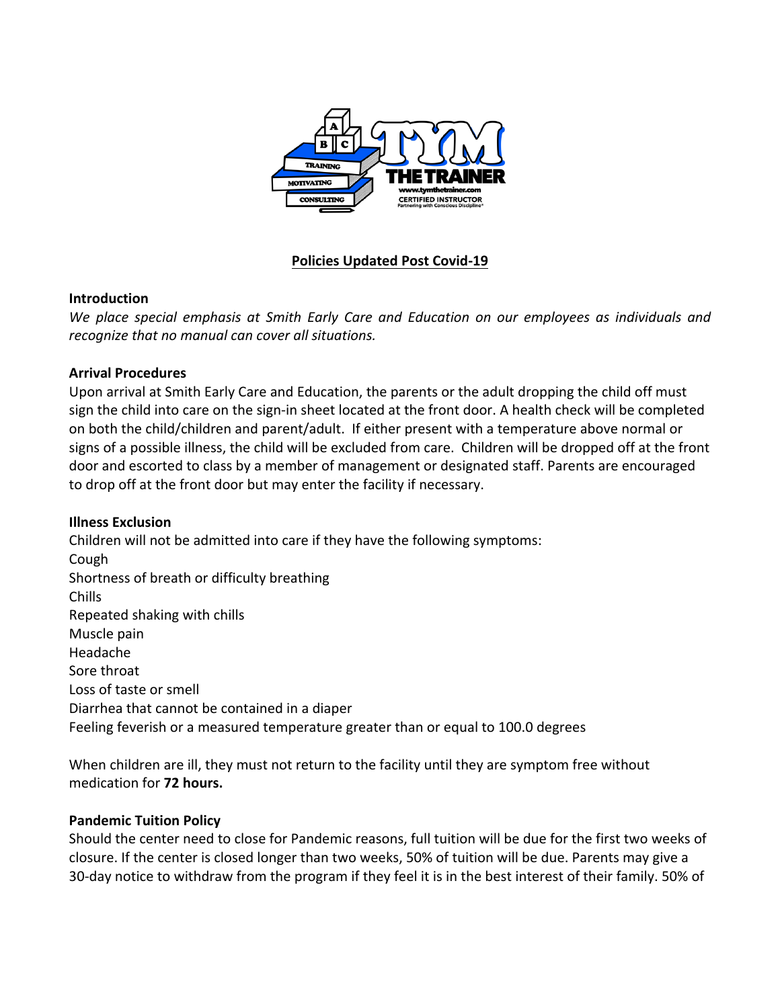

## **Policies Updated Post Covid-19**

#### **Introduction**

*We place special emphasis at Smith Early Care and Education on our employees as individuals and recognize that no manual can cover all situations.* 

### **Arrival Procedures**

Upon arrival at Smith Early Care and Education, the parents or the adult dropping the child off must sign the child into care on the sign-in sheet located at the front door. A health check will be completed on both the child/children and parent/adult. If either present with a temperature above normal or signs of a possible illness, the child will be excluded from care. Children will be dropped off at the front door and escorted to class by a member of management or designated staff. Parents are encouraged to drop off at the front door but may enter the facility if necessary.

### **Illness Exclusion**

Children will not be admitted into care if they have the following symptoms: Cough Shortness of breath or difficulty breathing Chills Repeated shaking with chills Muscle pain Headache Sore throat Loss of taste or smell Diarrhea that cannot be contained in a diaper Feeling feverish or a measured temperature greater than or equal to 100.0 degrees

When children are ill, they must not return to the facility until they are symptom free without medication for **72 hours.**

#### **Pandemic Tuition Policy**

Should the center need to close for Pandemic reasons, full tuition will be due for the first two weeks of closure. If the center is closed longer than two weeks, 50% of tuition will be due. Parents may give a 30-day notice to withdraw from the program if they feel it is in the best interest of their family. 50% of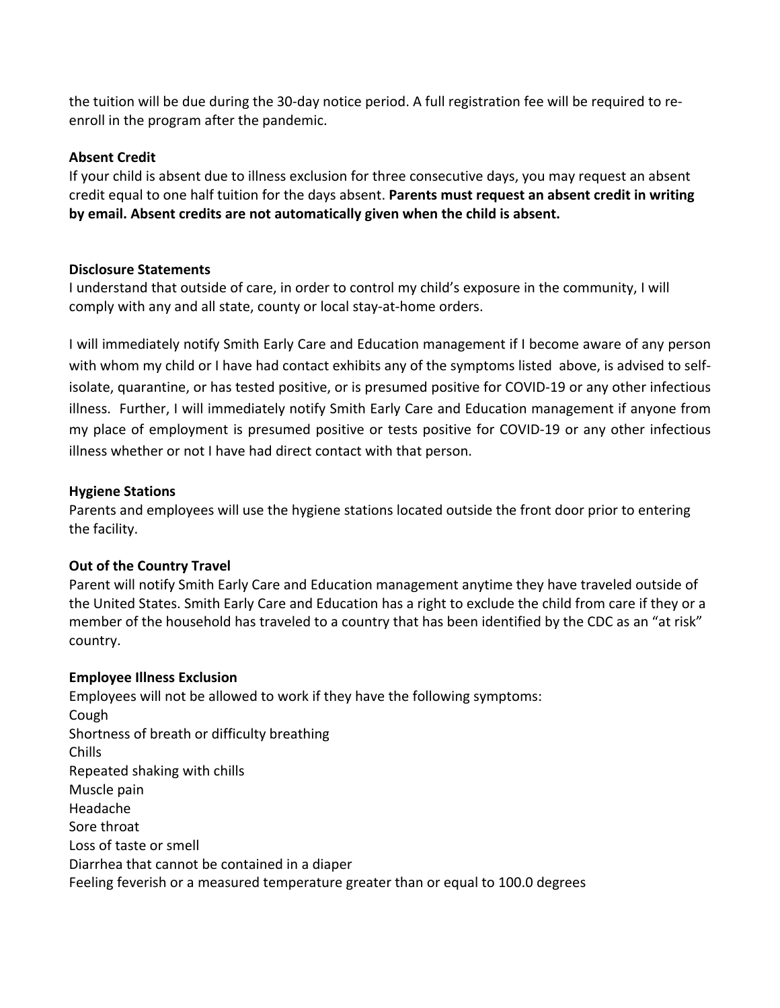the tuition will be due during the 30-day notice period. A full registration fee will be required to reenroll in the program after the pandemic.

### **Absent Credit**

If your child is absent due to illness exclusion for three consecutive days, you may request an absent credit equal to one half tuition for the days absent. **Parents must request an absent credit in writing by email. Absent credits are not automatically given when the child is absent.** 

## **Disclosure Statements**

I understand that outside of care, in order to control my child's exposure in the community, I will comply with any and all state, county or local stay-at-home orders.

I will immediately notify Smith Early Care and Education management if I become aware of any person with whom my child or I have had contact exhibits any of the symptoms listed above, is advised to selfisolate, quarantine, or has tested positive, or is presumed positive for COVID-19 or any other infectious illness. Further, I will immediately notify Smith Early Care and Education management if anyone from my place of employment is presumed positive or tests positive for COVID-19 or any other infectious illness whether or not I have had direct contact with that person.

## **Hygiene Stations**

Parents and employees will use the hygiene stations located outside the front door prior to entering the facility.

# **Out of the Country Travel**

Parent will notify Smith Early Care and Education management anytime they have traveled outside of the United States. Smith Early Care and Education has a right to exclude the child from care if they or a member of the household has traveled to a country that has been identified by the CDC as an "at risk" country.

# **Employee Illness Exclusion**

Employees will not be allowed to work if they have the following symptoms: Cough Shortness of breath or difficulty breathing Chills Repeated shaking with chills Muscle pain Headache Sore throat Loss of taste or smell Diarrhea that cannot be contained in a diaper Feeling feverish or a measured temperature greater than or equal to 100.0 degrees